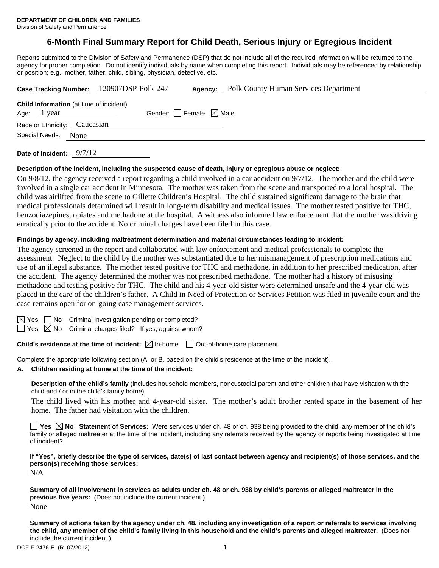# **6-Month Final Summary Report for Child Death, Serious Injury or Egregious Incident**

Reports submitted to the Division of Safety and Permanence (DSP) that do not include all of the required information will be returned to the agency for proper completion. Do not identify individuals by name when completing this report. Individuals may be referenced by relationship or position; e.g., mother, father, child, sibling, physician, detective, etc.

| Case Tracking Number: 120907DSP-Polk-247       |                                     |  | Agency: | <b>Polk County Human Services Department</b> |  |
|------------------------------------------------|-------------------------------------|--|---------|----------------------------------------------|--|
| <b>Child Information</b> (at time of incident) |                                     |  |         |                                              |  |
| Age: 1 year                                    | Gender: $ $ Female $\boxtimes$ Male |  |         |                                              |  |
| Race or Ethnicity: Caucasian                   |                                     |  |         |                                              |  |
| Special Needs:                                 | None                                |  |         |                                              |  |
|                                                |                                     |  |         |                                              |  |

**Date of Incident:** 9/7/12

#### **Description of the incident, including the suspected cause of death, injury or egregious abuse or neglect:**

On 9/8/12, the agency received a report regarding a child involved in a car accident on 9/7/12. The mother and the child were involved in a single car accident in Minnesota. The mother was taken from the scene and transported to a local hospital. The child was airlifted from the scene to Gillette Children's Hospital. The child sustained significant damage to the brain that medical professionals determined will result in long-term disability and medical issues. The mother tested positive for THC, benzodiazepines, opiates and methadone at the hospital. A witness also informed law enforcement that the mother was driving erratically prior to the accident. No criminal charges have been filed in this case.

#### **Findings by agency, including maltreatment determination and material circumstances leading to incident:**

The agency screened in the report and collaborated with law enforcement and medical professionals to complete the assessment. Neglect to the child by the mother was substantiated due to her mismanagement of prescription medications and use of an illegal substance. The mother tested positive for THC and methadone, in addition to her prescribed medication, after the accident. The agency determined the mother was not prescribed methadone. The mother had a history of misusing methadone and testing positive for THC. The child and his 4-year-old sister were determined unsafe and the 4-year-old was placed in the care of the children's father. A Child in Need of Protection or Services Petition was filed in juvenile court and the case remains open for on-going case management services.

| ×<br>۰, |
|---------|
|         |

 $\Box$  No Criminal investigation pending or completed?

 $\Box$  Yes  $\boxtimes$  No Criminal charges filed? If yes, against whom?

**Child's residence at the time of incident:**  $\boxtimes$  In-home  $\Box$  Out-of-home care placement

Complete the appropriate following section (A. or B. based on the child's residence at the time of the incident).

#### **A. Children residing at home at the time of the incident:**

**Description of the child's family** (includes household members, noncustodial parent and other children that have visitation with the child and / or in the child's family home):

 The child lived with his mother and 4-year-old sister. The mother's adult brother rented space in the basement of her home. The father had visitation with the children.

■ Yes **No** Statement of Services: Were services under ch. 48 or ch. 938 being provided to the child, any member of the child's family or alleged maltreater at the time of the incident, including any referrals received by the agency or reports being investigated at time of incident?

**If "Yes", briefly describe the type of services, date(s) of last contact between agency and recipient(s) of those services, and the person(s) receiving those services:** 

N/A

**Summary of all involvement in services as adults under ch. 48 or ch. 938 by child's parents or alleged maltreater in the previous five years:** (Does not include the current incident.) None

**Summary of actions taken by the agency under ch. 48, including any investigation of a report or referrals to services involving the child, any member of the child's family living in this household and the child's parents and alleged maltreater.** (Does not include the current incident.)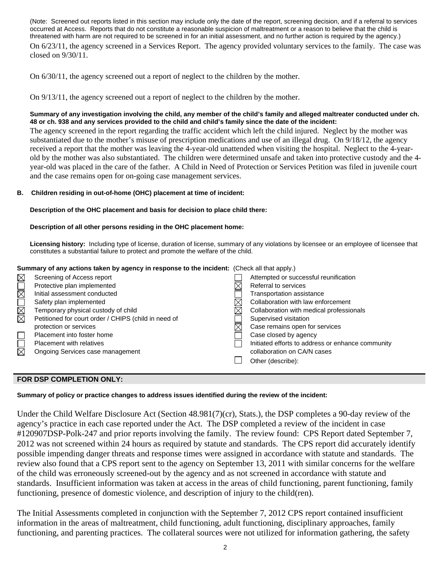(Note: Screened out reports listed in this section may include only the date of the report, screening decision, and if a referral to services occurred at Access. Reports that do not constitute a reasonable suspicion of maltreatment or a reason to believe that the child is threatened with harm are not required to be screened in for an initial assessment, and no further action is required by the agency.)

On 6/23/11, the agency screened in a Services Report. The agency provided voluntary services to the family. The case was closed on 9/30/11.

On 6/30/11, the agency screened out a report of neglect to the children by the mother.

On 9/13/11, the agency screened out a report of neglect to the children by the mother.

### **Summary of any investigation involving the child, any member of the child's family and alleged maltreater conducted under ch. 48 or ch. 938 and any services provided to the child and child's family since the date of the incident:**

The agency screened in the report regarding the traffic accident which left the child injured. Neglect by the mother was substantiated due to the mother's misuse of prescription medications and use of an illegal drug. On 9/18/12, the agency received a report that the mother was leaving the 4-year-old unattended when visiting the hospital. Neglect to the 4-yearold by the mother was also substantiated. The children were determined unsafe and taken into protective custody and the 4 year-old was placed in the care of the father. A Child in Need of Protection or Services Petition was filed in juvenile court and the case remains open for on-going case management services.

### **B. Children residing in out-of-home (OHC) placement at time of incident:**

### **Description of the OHC placement and basis for decision to place child there:**

# **Description of all other persons residing in the OHC placement home:**

**Licensing history:** Including type of license, duration of license, summary of any violations by licensee or an employee of licensee that constitutes a substantial failure to protect and promote the welfare of the child.

# **Summary of any actions taken by agency in response to the incident:** (Check all that apply.)

| $\boxtimes$  | Screening of Access report                           | Attempted or successful reunification             |
|--------------|------------------------------------------------------|---------------------------------------------------|
|              | Protective plan implemented                          | Referral to services                              |
| <b>RADMA</b> | Initial assessment conducted                         | Transportation assistance                         |
|              | Safety plan implemented                              | Collaboration with law enforcement                |
|              | Temporary physical custody of child                  | Collaboration with medical professionals          |
|              | Petitioned for court order / CHIPS (child in need of | Supervised visitation                             |
|              | protection or services                               | Case remains open for services                    |
|              | Placement into foster home                           | Case closed by agency                             |
|              | <b>Placement with relatives</b>                      | Initiated efforts to address or enhance community |
| $\boxtimes$  | Ongoing Services case management                     | collaboration on CA/N cases                       |
|              |                                                      | Other (describe):                                 |
|              |                                                      |                                                   |

# **FOR DSP COMPLETION ONLY:**

**Summary of policy or practice changes to address issues identified during the review of the incident:** 

Under the Child Welfare Disclosure Act (Section 48.981(7)(cr), Stats.), the DSP completes a 90-day review of the agency's practice in each case reported under the Act. The DSP completed a review of the incident in case #120907DSP-Polk-247 and prior reports involving the family. The review found: CPS Report dated September 7, 2012 was not screened within 24 hours as required by statute and standards. The CPS report did accurately identify possible impending danger threats and response times were assigned in accordance with statute and standards. The review also found that a CPS report sent to the agency on September 13, 2011 with similar concerns for the welfare of the child was erroneously screened-out by the agency and as not screened in accordance with statute and standards. Insufficient information was taken at access in the areas of child functioning, parent functioning, family functioning, presence of domestic violence, and description of injury to the child(ren).

The Initial Assessments completed in conjunction with the September 7, 2012 CPS report contained insufficient information in the areas of maltreatment, child functioning, adult functioning, disciplinary approaches, family functioning, and parenting practices. The collateral sources were not utilized for information gathering, the safety